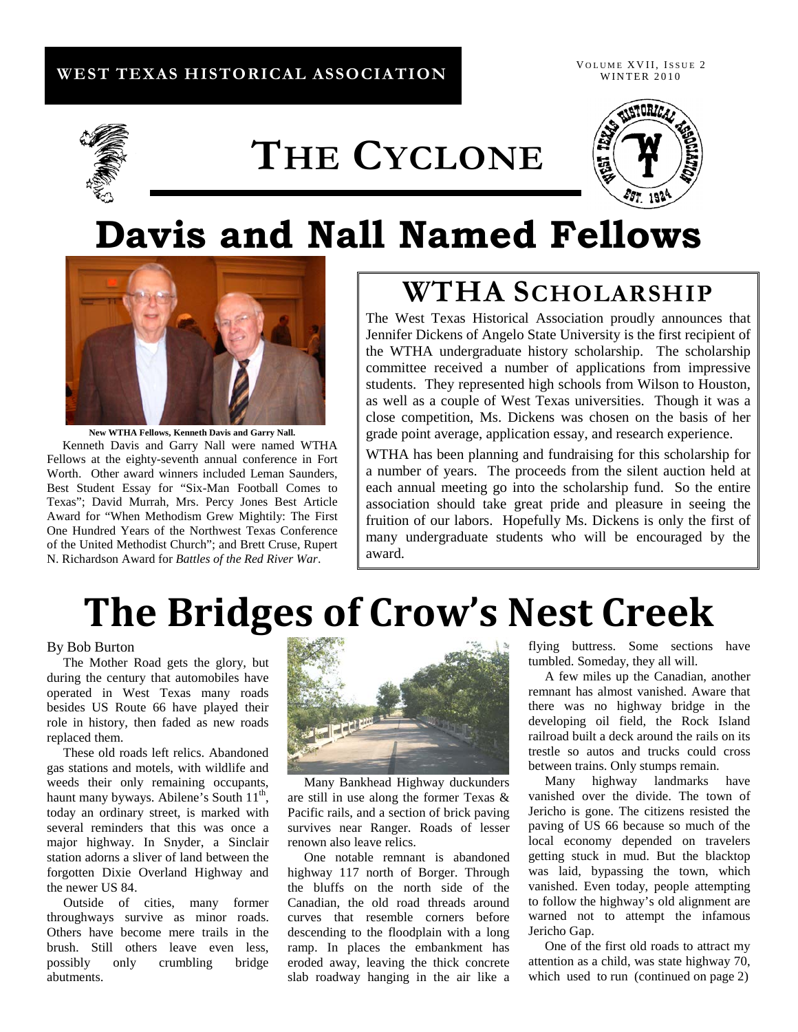### **WEST TEXAS HISTORICAL ASSOCIATION**

VOLUME XVII, ISSUE 2 WINTER 2010



# **THE CYCLONE**



# **Davis and Nall Named Fellows**



**New WTHA Fellows, Kenneth Davis and Garry Nall.** Kenneth Davis and Garry Nall were named WTHA Fellows at the eighty-seventh annual conference in Fort Worth. Other award winners included Leman Saunders, Best Student Essay for "Six-Man Football Comes to Texas"; David Murrah, Mrs. Percy Jones Best Article Award for "When Methodism Grew Mightily: The First One Hundred Years of the Northwest Texas Conference of the United Methodist Church"; and Brett Cruse, Rupert N. Richardson Award for *Battles of the Red River War*.

## **WTHA SCHOLARSHIP**

The West Texas Historical Association proudly announces that Jennifer Dickens of Angelo State University is the first recipient of the WTHA undergraduate history scholarship. The scholarship committee received a number of applications from impressive students. They represented high schools from Wilson to Houston, as well as a couple of West Texas universities. Though it was a close competition, Ms. Dickens was chosen on the basis of her grade point average, application essay, and research experience.

WTHA has been planning and fundraising for this scholarship for a number of years. The proceeds from the silent auction held at each annual meeting go into the scholarship fund. So the entire association should take great pride and pleasure in seeing the fruition of our labors. Hopefully Ms. Dickens is only the first of many undergraduate students who will be encouraged by the award.

# **The Bridges of Crow's Nest Creek**

#### By Bob Burton

 The Mother Road gets the glory, but during the century that automobiles have operated in West Texas many roads besides US Route 66 have played their role in history, then faded as new roads replaced them.

 These old roads left relics. Abandoned gas stations and motels, with wildlife and weeds their only remaining occupants, haunt many byways. Abilene's South 11<sup>th</sup>, today an ordinary street, is marked with several reminders that this was once a major highway. In Snyder, a Sinclair station adorns a sliver of land between the forgotten Dixie Overland Highway and the newer US 84.

 Outside of cities, many former throughways survive as minor roads. Others have become mere trails in the brush. Still others leave even less, possibly only crumbling bridge abutments.



 Many Bankhead Highway duckunders are still in use along the former Texas & Pacific rails, and a section of brick paving survives near Ranger. Roads of lesser renown also leave relics.

 One notable remnant is abandoned highway 117 north of Borger. Through the bluffs on the north side of the Canadian, the old road threads around curves that resemble corners before descending to the floodplain with a long ramp. In places the embankment has eroded away, leaving the thick concrete slab roadway hanging in the air like a

flying buttress. Some sections have tumbled. Someday, they all will.

 A few miles up the Canadian, another remnant has almost vanished. Aware that there was no highway bridge in the developing oil field, the Rock Island railroad built a deck around the rails on its trestle so autos and trucks could cross between trains. Only stumps remain.

 Many highway landmarks have vanished over the divide. The town of Jericho is gone. The citizens resisted the paving of US 66 because so much of the local economy depended on travelers getting stuck in mud. But the blacktop was laid, bypassing the town, which vanished. Even today, people attempting to follow the highway's old alignment are warned not to attempt the infamous Jericho Gap.

 One of the first old roads to attract my attention as a child, was state highway 70, which used to run (continued on page 2)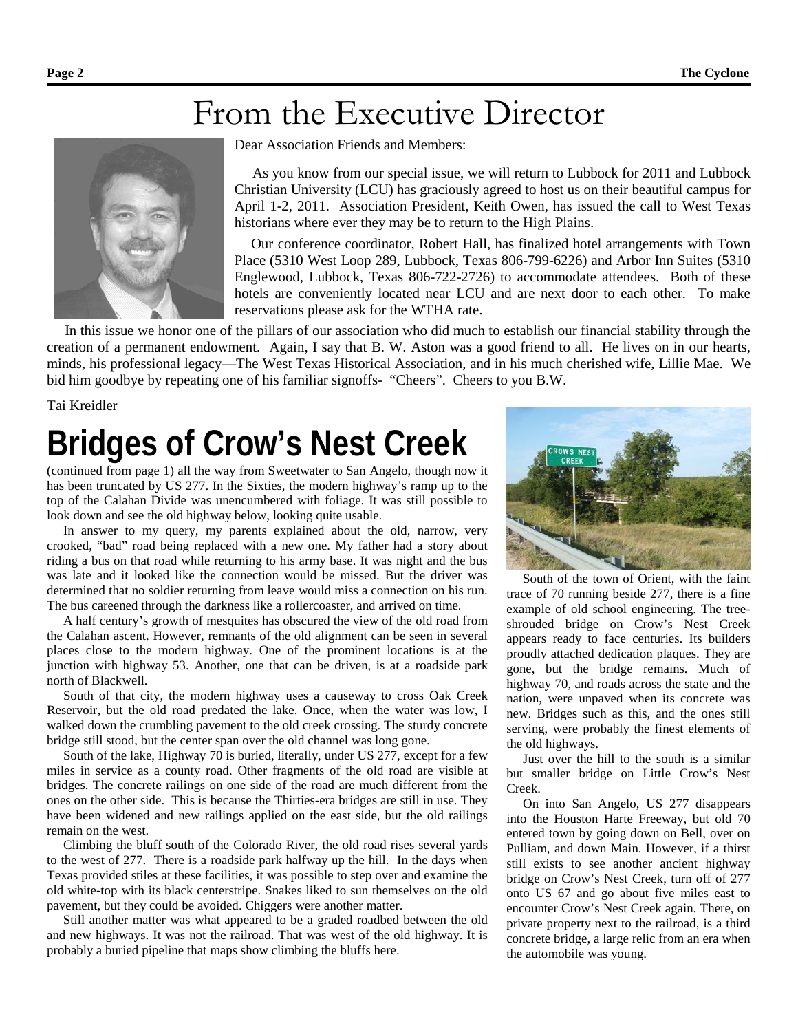## From the Executive Director



Dear Association Friends and Members:

 As you know from our special issue, we will return to Lubbock for 2011 and Lubbock Christian University (LCU) has graciously agreed to host us on their beautiful campus for April 1-2, 2011. Association President, Keith Owen, has issued the call to West Texas historians where ever they may be to return to the High Plains.

Our conference coordinator, Robert Hall, has finalized hotel arrangements with Town Place (5310 West Loop 289, Lubbock, Texas 806-799-6226) and Arbor Inn Suites (5310 Englewood, Lubbock, Texas 806-722-2726) to accommodate attendees. Both of these hotels are conveniently located near LCU and are next door to each other. To make reservations please ask for the WTHA rate.

 In this issue we honor one of the pillars of our association who did much to establish our financial stability through the creation of a permanent endowment. Again, I say that B. W. Aston was a good friend to all. He lives on in our hearts, minds, his professional legacy—The West Texas Historical Association, and in his much cherished wife, Lillie Mae. We bid him goodbye by repeating one of his familiar signoffs- "Cheers". Cheers to you B.W.

Tai Kreidler

# **Bridges of Crow's Nest Creek**

(continued from page 1) all the way from Sweetwater to San Angelo, though now it has been truncated by US 277. In the Sixties, the modern highway's ramp up to the top of the Calahan Divide was unencumbered with foliage. It was still possible to look down and see the old highway below, looking quite usable.

 In answer to my query, my parents explained about the old, narrow, very crooked, "bad" road being replaced with a new one. My father had a story about riding a bus on that road while returning to his army base. It was night and the bus was late and it looked like the connection would be missed. But the driver was determined that no soldier returning from leave would miss a connection on his run. The bus careened through the darkness like a rollercoaster, and arrived on time.

 A half century's growth of mesquites has obscured the view of the old road from the Calahan ascent. However, remnants of the old alignment can be seen in several places close to the modern highway. One of the prominent locations is at the junction with highway 53. Another, one that can be driven, is at a roadside park north of Blackwell.

 South of that city, the modern highway uses a causeway to cross Oak Creek Reservoir, but the old road predated the lake. Once, when the water was low, I walked down the crumbling pavement to the old creek crossing. The sturdy concrete bridge still stood, but the center span over the old channel was long gone.

 South of the lake, Highway 70 is buried, literally, under US 277, except for a few miles in service as a county road. Other fragments of the old road are visible at bridges. The concrete railings on one side of the road are much different from the ones on the other side. This is because the Thirties-era bridges are still in use. They have been widened and new railings applied on the east side, but the old railings remain on the west.

 Climbing the bluff south of the Colorado River, the old road rises several yards to the west of 277. There is a roadside park halfway up the hill. In the days when Texas provided stiles at these facilities, it was possible to step over and examine the old white-top with its black centerstripe. Snakes liked to sun themselves on the old pavement, but they could be avoided. Chiggers were another matter.

 Still another matter was what appeared to be a graded roadbed between the old and new highways. It was not the railroad. That was west of the old highway. It is probably a buried pipeline that maps show climbing the bluffs here.



 South of the town of Orient, with the faint trace of 70 running beside 277, there is a fine example of old school engineering. The treeshrouded bridge on Crow's Nest Creek appears ready to face centuries. Its builders proudly attached dedication plaques. They are gone, but the bridge remains. Much of highway 70, and roads across the state and the nation, were unpaved when its concrete was new. Bridges such as this, and the ones still serving, were probably the finest elements of the old highways.

 Just over the hill to the south is a similar but smaller bridge on Little Crow's Nest Creek.

 On into San Angelo, US 277 disappears into the Houston Harte Freeway, but old 70 entered town by going down on Bell, over on Pulliam, and down Main. However, if a thirst still exists to see another ancient highway bridge on Crow's Nest Creek, turn off of 277 onto US 67 and go about five miles east to encounter Crow's Nest Creek again. There, on private property next to the railroad, is a third concrete bridge, a large relic from an era when the automobile was young.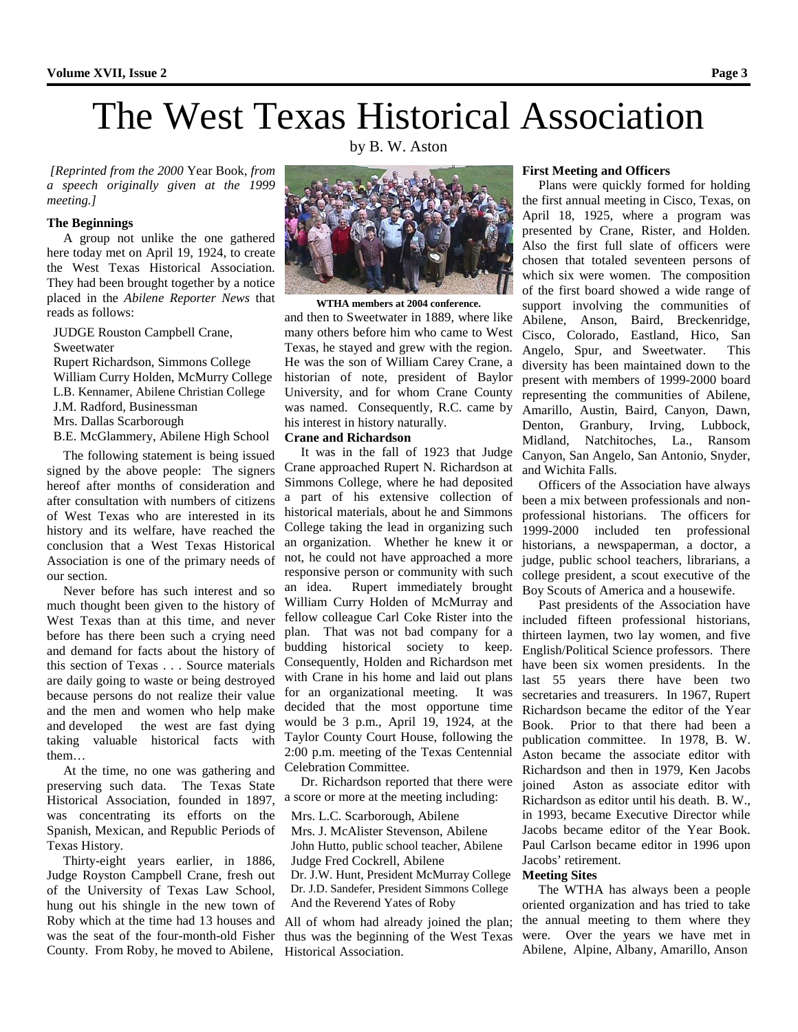# The West Texas Historical Association

by B. W. Aston

*[Reprinted from the 2000* Year Book*, from a speech originally given at the 1999 meeting.]*

#### **The Beginnings**

 A group not unlike the one gathered here today met on April 19, 1924, to create the West Texas Historical Association. They had been brought together by a notice placed in the *Abilene Reporter News* that reads as follows:

JUDGE Rouston Campbell Crane,

#### Sweetwater

 Rupert Richardson, Simmons College William Curry Holden, McMurry College

L.B. Kennamer, Abilene Christian College

J.M. Radford, Businessman

Mrs. Dallas Scarborough

B.E. McGlammery, Abilene High School

 The following statement is being issued signed by the above people: The signers hereof after months of consideration and after consultation with numbers of citizens of West Texas who are interested in its history and its welfare, have reached the conclusion that a West Texas Historical Association is one of the primary needs of our section.

 Never before has such interest and so much thought been given to the history of West Texas than at this time, and never before has there been such a crying need and demand for facts about the history of this section of Texas . . . Source materials are daily going to waste or being destroyed because persons do not realize their value and the men and women who help make and developed the west are fast dying taking valuable historical facts with them…

 At the time, no one was gathering and preserving such data. The Texas State Historical Association, founded in 1897, was concentrating its efforts on the Spanish, Mexican, and Republic Periods of Texas History.

 Thirty-eight years earlier, in 1886, Judge Royston Campbell Crane, fresh out of the University of Texas Law School, hung out his shingle in the new town of Roby which at the time had 13 houses and was the seat of the four-month-old Fisher County. From Roby, he moved to Abilene,



**WTHA members at 2004 conference.** and then to Sweetwater in 1889, where like many others before him who came to West Texas, he stayed and grew with the region. He was the son of William Carey Crane, a historian of note, president of Baylor University, and for whom Crane County was named. Consequently, R.C. came by his interest in history naturally.

#### **Crane and Richardson**

 It was in the fall of 1923 that Judge Crane approached Rupert N. Richardson at Simmons College, where he had deposited a part of his extensive collection of historical materials, about he and Simmons College taking the lead in organizing such an organization. Whether he knew it or not, he could not have approached a more responsive person or community with such an idea. Rupert immediately brought William Curry Holden of McMurray and fellow colleague Carl Coke Rister into the plan. That was not bad company for a budding historical society to keep. Consequently, Holden and Richardson met with Crane in his home and laid out plans for an organizational meeting. It was decided that the most opportune time would be 3 p.m., April 19, 1924, at the Taylor County Court House, following the 2:00 p.m. meeting of the Texas Centennial Celebration Committee.

 Dr. Richardson reported that there were a score or more at the meeting including:

 Mrs. L.C. Scarborough, Abilene Mrs. J. McAlister Stevenson, Abilene John Hutto, public school teacher, Abilene Judge Fred Cockrell, Abilene Dr. J.W. Hunt, President McMurray College

 Dr. J.D. Sandefer, President Simmons College And the Reverend Yates of Roby

All of whom had already joined the plan; thus was the beginning of the West Texas Historical Association.

#### **First Meeting and Officers**

 Plans were quickly formed for holding the first annual meeting in Cisco, Texas, on April 18, 1925, where a program was presented by Crane, Rister, and Holden. Also the first full slate of officers were chosen that totaled seventeen persons of which six were women. The composition of the first board showed a wide range of support involving the communities of Abilene, Anson, Baird, Breckenridge, Cisco, Colorado, Eastland, Hico, San Angelo, Spur, and Sweetwater. This diversity has been maintained down to the present with members of 1999-2000 board representing the communities of Abilene, Amarillo, Austin, Baird, Canyon, Dawn, Denton, Granbury, Irving, Lubbock, Midland, Natchitoches, La., Ransom Canyon, San Angelo, San Antonio, Snyder, and Wichita Falls.

 Officers of the Association have always been a mix between professionals and nonprofessional historians. The officers for 1999-2000 included ten professional historians, a newspaperman, a doctor, a judge, public school teachers, librarians, a college president, a scout executive of the Boy Scouts of America and a housewife.

 Past presidents of the Association have included fifteen professional historians, thirteen laymen, two lay women, and five English/Political Science professors. There have been six women presidents. In the last 55 years there have been two secretaries and treasurers. In 1967, Rupert Richardson became the editor of the Year Book. Prior to that there had been a publication committee. In 1978, B. W. Aston became the associate editor with Richardson and then in 1979, Ken Jacobs joined Aston as associate editor with Richardson as editor until his death. B. W., in 1993, became Executive Director while Jacobs became editor of the Year Book. Paul Carlson became editor in 1996 upon Jacobs' retirement.

#### **Meeting Sites**

 The WTHA has always been a people oriented organization and has tried to take the annual meeting to them where they were. Over the years we have met in Abilene, Alpine, Albany, Amarillo, Anson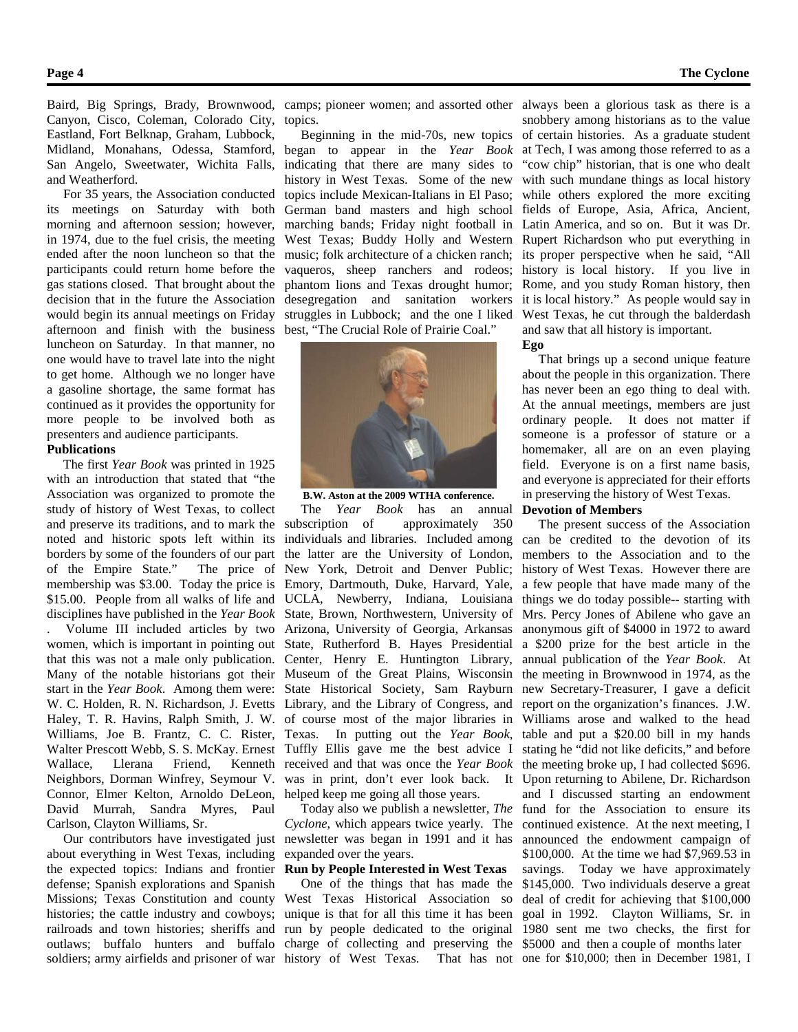Canyon, Cisco, Coleman, Colorado City, Eastland, Fort Belknap, Graham, Lubbock, Midland, Monahans, Odessa, Stamford, San Angelo, Sweetwater, Wichita Falls, and Weatherford.

 For 35 years, the Association conducted its meetings on Saturday with both morning and afternoon session; however, in 1974, due to the fuel crisis, the meeting ended after the noon luncheon so that the participants could return home before the gas stations closed. That brought about the decision that in the future the Association would begin its annual meetings on Friday afternoon and finish with the business luncheon on Saturday. In that manner, no one would have to travel late into the night to get home. Although we no longer have a gasoline shortage, the same format has continued as it provides the opportunity for more people to be involved both as presenters and audience participants.

#### **Publications**

 The first *Year Book* was printed in 1925 with an introduction that stated that "the Association was organized to promote the study of history of West Texas, to collect and preserve its traditions, and to mark the noted and historic spots left within its borders by some of the founders of our part of the Empire State." The price of membership was \$3.00. Today the price is \$15.00. People from all walks of life and disciplines have published in the *Year Book*

. Volume III included articles by two women, which is important in pointing out State, Rutherford B. Hayes Presidential that this was not a male only publication. Center, Henry E. Huntington Library, Many of the notable historians got their Museum of the Great Plains, Wisconsin start in the *Year Book*. Among them were: State Historical Society, Sam Rayburn W. C. Holden, R. N. Richardson, J. Evetts Library, and the Library of Congress, and Haley, T. R. Havins, Ralph Smith, J. W. of course most of the major libraries in Williams, Joe B. Frantz, C. C. Rister, Texas. In putting out the *Year Book*, Walter Prescott Webb, S. S. McKay. Ernest Tuffly Ellis gave me the best advice I Wallace, Llerana Friend, Kenneth received and that was once the *Year Book* Neighbors, Dorman Winfrey, Seymour V. was in print, don't ever look back. It Connor, Elmer Kelton, Arnoldo DeLeon, helped keep me going all those years. David Murrah, Sandra Myres, Paul Carlson, Clayton Williams, Sr.

 Our contributors have investigated just about everything in West Texas, including the expected topics: Indians and frontier defense; Spanish explorations and Spanish Missions; Texas Constitution and county histories; the cattle industry and cowboys; railroads and town histories; sheriffs and outlaws; buffalo hunters and buffalo charge of collecting and preserving the

topics.

 Beginning in the mid-70s, new topics began to appear in the *Year Book* indicating that there are many sides to history in West Texas. Some of the new topics include Mexican-Italians in El Paso; German band masters and high school marching bands; Friday night football in West Texas; Buddy Holly and Western music; folk architecture of a chicken ranch; vaqueros, sheep ranchers and rodeos; phantom lions and Texas drought humor; desegregation and sanitation workers struggles in Lubbock; and the one I liked best, "The Crucial Role of Prairie Coal."



**B.W. Aston at the 2009 WTHA conference.**

 The *Year Book* has an annual subscription of approximately 350 individuals and libraries. Included among the latter are the University of London, New York, Detroit and Denver Public; Emory, Dartmouth, Duke, Harvard, Yale, UCLA, Newberry, Indiana, Louisiana State, Brown, Northwestern, University of Arizona, University of Georgia, Arkansas

 Today also we publish a newsletter, *The Cyclone*, which appears twice yearly. The newsletter was began in 1991 and it has expanded over the years.

#### **Run by People Interested in West Texas**

soldiers; army airfields and prisoner of war history of West Texas. That has not one for \$10,000; then in December 1981, I One of the things that has made the West Texas Historical Association so unique is that for all this time it has been run by people dedicated to the original

Baird, Big Springs, Brady, Brownwood, camps; pioneer women; and assorted other always been a glorious task as there is a snobbery among historians as to the value of certain histories. As a graduate student at Tech, I was among those referred to as a "cow chip" historian, that is one who dealt with such mundane things as local history while others explored the more exciting fields of Europe, Asia, Africa, Ancient, Latin America, and so on. But it was Dr. Rupert Richardson who put everything in its proper perspective when he said, "All history is local history. If you live in Rome, and you study Roman history, then it is local history." As people would say in West Texas, he cut through the balderdash and saw that all history is important. **Ego**

> That brings up a second unique feature about the people in this organization. There has never been an ego thing to deal with. At the annual meetings, members are just ordinary people. It does not matter if someone is a professor of stature or a homemaker, all are on an even playing field. Everyone is on a first name basis, and everyone is appreciated for their efforts in preserving the history of West Texas.

#### **Devotion of Members**

 The present success of the Association can be credited to the devotion of its members to the Association and to the history of West Texas. However there are a few people that have made many of the things we do today possible-- starting with Mrs. Percy Jones of Abilene who gave an anonymous gift of \$4000 in 1972 to award a \$200 prize for the best article in the annual publication of the *Year Book*. At the meeting in Brownwood in 1974, as the new Secretary-Treasurer, I gave a deficit report on the organization's finances. J.W. Williams arose and walked to the head table and put a \$20.00 bill in my hands stating he "did not like deficits," and before the meeting broke up, I had collected \$696. Upon returning to Abilene, Dr. Richardson and I discussed starting an endowment fund for the Association to ensure its continued existence. At the next meeting, I announced the endowment campaign of \$100,000. At the time we had \$7,969.53 in savings. Today we have approximately \$145,000. Two individuals deserve a great deal of credit for achieving that \$100,000 goal in 1992. Clayton Williams, Sr. in 1980 sent me two checks, the first for \$5000 and then a couple of months later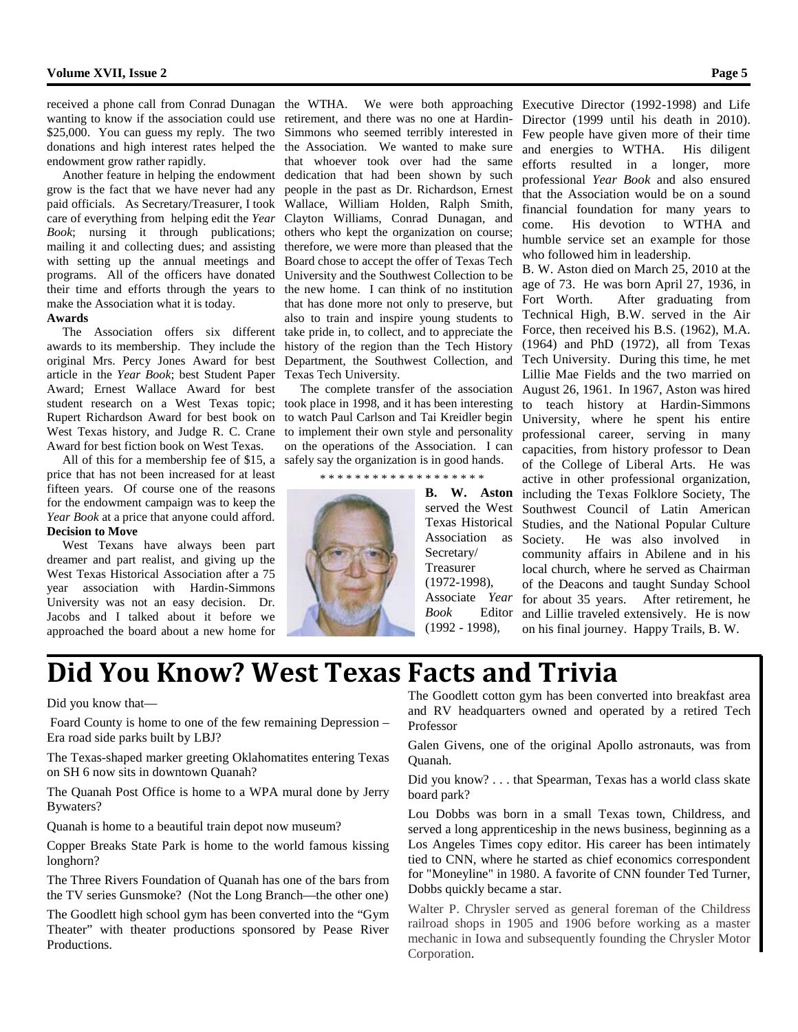endowment grow rather rapidly.

 Another feature in helping the endowment grow is the fact that we have never had any paid officials. As Secretary/Treasurer, I took care of everything from helping edit the *Year Book*; nursing it through publications; mailing it and collecting dues; and assisting with setting up the annual meetings and programs. All of the officers have donated their time and efforts through the years to make the Association what it is today.

#### **Awards**

 The Association offers six different awards to its membership. They include the original Mrs. Percy Jones Award for best article in the *Year Book*; best Student Paper Award; Ernest Wallace Award for best student research on a West Texas topic; took place in 1998, and it has been interesting Rupert Richardson Award for best book on West Texas history, and Judge R. C. Crane Award for best fiction book on West Texas.

 All of this for a membership fee of \$15, a safely say the organization is in good hands. price that has not been increased for at least fifteen years. Of course one of the reasons for the endowment campaign was to keep the *Year Book* at a price that anyone could afford. **Decision to Move**

 West Texans have always been part dreamer and part realist, and giving up the West Texas Historical Association after a 75 year association with Hardin-Simmons University was not an easy decision. Dr. Jacobs and I talked about it before we approached the board about a new home for

received a phone call from Conrad Dunagan the WTHA. We were both approaching Executive Director (1992-1998) and Life wanting to know if the association could use retirement, and there was no one at Hardin-\$25,000. You can guess my reply. The two Simmons who seemed terribly interested in donations and high interest rates helped the the Association. We wanted to make sure that whoever took over had the same dedication that had been shown by such people in the past as Dr. Richardson, Ernest Wallace, William Holden, Ralph Smith, Clayton Williams, Conrad Dunagan, and others who kept the organization on course; therefore, we were more than pleased that the Board chose to accept the offer of Texas Tech University and the Southwest Collection to be the new home. I can think of no institution that has done more not only to preserve, but also to train and inspire young students to take pride in, to collect, and to appreciate the history of the region than the Tech History Department, the Southwest Collection, and Texas Tech University.

> to watch Paul Carlson and Tai Kreidler begin to implement their own style and personality on the operations of the Association. I can

\* \* \* \* \* \* \* \* \* \* \* \* \* \* \* \* \* \* \*



**B. W. Aston** served the West Texas Historical Association as Society. Secretary/ Treasurer (1972-1998), Associate *Year Book* Editor (1992 - 1998),

Director (1999 until his death in 2010). Few people have given more of their time and energies to WTHA. His diligent efforts resulted in a longer, more professional *Year Book* and also ensured that the Association would be on a sound financial foundation for many years to come. His devotion to WTHA and humble service set an example for those who followed him in leadership.

 The complete transfer of the association August 26, 1961. In 1967, Aston was hired B. W. Aston died on March 25, 2010 at the age of 73. He was born April 27, 1936, in Fort Worth. After graduating from Technical High, B.W. served in the Air Force, then received his B.S. (1962), M.A. (1964) and PhD (1972), all from Texas Tech University. During this time, he met Lillie Mae Fields and the two married on to teach history at Hardin-Simmons University, where he spent his entire professional career, serving in many capacities, from history professor to Dean of the College of Liberal Arts. He was active in other professional organization, including the Texas Folklore Society, The Southwest Council of Latin American Studies, and the National Popular Culture He was also involved in community affairs in Abilene and in his local church, where he served as Chairman of the Deacons and taught Sunday School for about 35 years. After retirement, he and Lillie traveled extensively. He is now on his final journey. Happy Trails, B. W.

## **Did You Know? West Texas Facts and Trivia**

Did you know that—

Foard County is home to one of the few remaining Depression – Era road side parks built by LBJ?

The Texas-shaped marker greeting Oklahomatites entering Texas on SH 6 now sits in downtown Quanah?

The Quanah Post Office is home to a WPA mural done by Jerry Bywaters?

Quanah is home to a beautiful train depot now museum?

Copper Breaks State Park is home to the world famous kissing longhorn?

The Three Rivers Foundation of Quanah has one of the bars from the TV series Gunsmoke? (Not the Long Branch—the other one)

The Goodlett high school gym has been converted into the "Gym Theater" with theater productions sponsored by Pease River Productions.

The Goodlett cotton gym has been converted into breakfast area and RV headquarters owned and operated by a retired Tech Professor

Galen Givens, one of the original Apollo astronauts, was from Quanah.

Did you know? . . . that Spearman, Texas has a world class skate board park?

Lou Dobbs was born in a small Texas town, Childress, and served a long apprenticeship in the news business, beginning as a Los Angeles Times copy editor. His career has been intimately tied to CNN, where he started as chief economics correspondent for "Moneyline" in 1980. A favorite of CNN founder Ted Turner, Dobbs quickly became a star.

Walter P. Chrysler served as general foreman of the Childress railroad shops in 1905 and 1906 before working as a master mechanic in Iowa and subsequently founding the Chrysler Motor Corporation.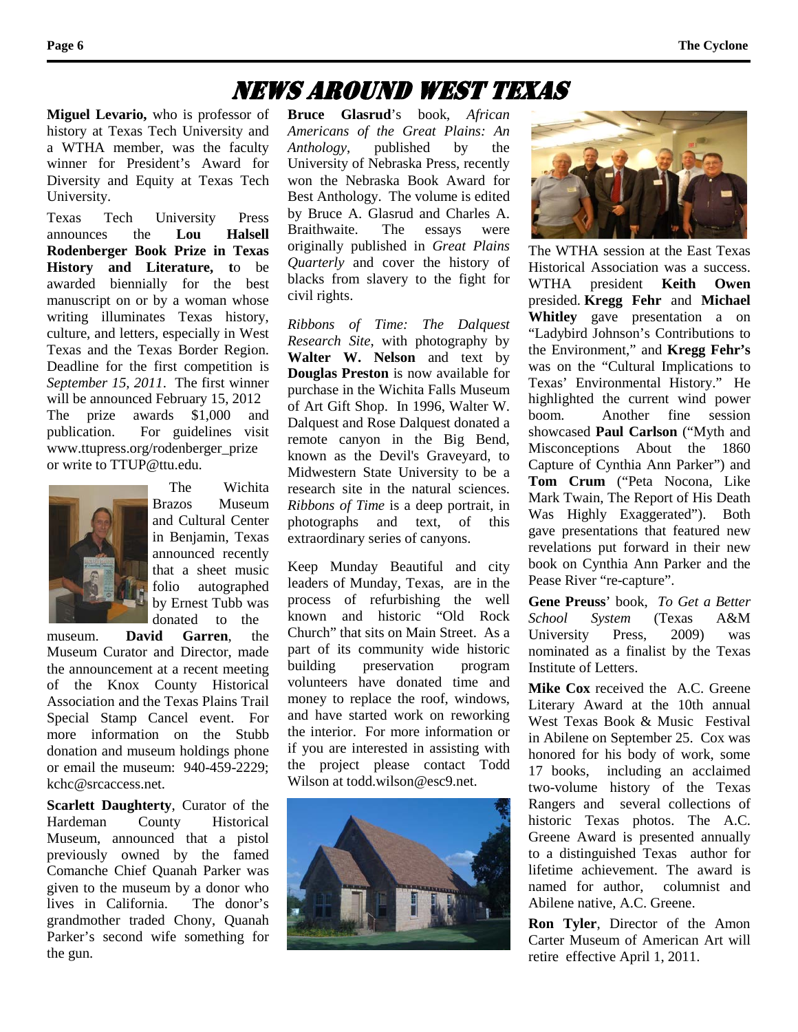## News Around West Texas

**Miguel Levario,** who is professor of history at Texas Tech University and a WTHA member, was the faculty winner for President's Award for Diversity and Equity at Texas Tech University.

Texas Tech University Press announces the **Lou Halsell Rodenberger Book Prize in Texas History and Literature, t**o be awarded biennially for the best manuscript on or by a woman whose writing illuminates Texas history, culture, and letters, especially in West Texas and the Texas Border Region. Deadline for the first competition is *September 15, 2011*. The first winner will be announced February 15, 2012 The prize awards \$1,000 and publication. For guidelines visit [www.ttupress.org/rodenberger\\_prize](http://www.ttupress.org/rodenberger_prize) or write to [TTUP@ttu.edu.](mailto:TTUP@ttu.edu)



 The Wichita Brazos Museum and Cultural Center in Benjamin, Texas announced recently that a sheet music folio autographed by Ernest Tubb was donated to the

museum. **David Garren**, the Museum Curator and Director, made the announcement at a recent meeting of the Knox County Historical Association and the Texas Plains Trail Special Stamp Cancel event. For more information on the Stubb donation and museum holdings phone or email the museum: 940-459-2229; [kchc@srcaccess.net.](mailto:kchc@srcaccess.net)

**Scarlett Daughterty**, Curator of the Hardeman County Historical Museum, announced that a pistol previously owned by the famed Comanche Chief Quanah Parker was given to the museum by a donor who lives in California. The donor's grandmother traded Chony, Quanah Parker's second wife something for the gun.

**Bruce Glasrud**'s book, *African Americans of the Great Plains: An Anthology*, published by the University of Nebraska Press, recently won the Nebraska Book Award for Best Anthology. The volume is edited by Bruce A. Glasrud and Charles A. Braithwaite. The essays were originally published in *Great Plains Quarterly* and cover the history of blacks from slavery to the fight for civil rights.

*Ribbons of Time: The Dalquest Research Site*, with photography by **Walter W. Nelson** and text by **Douglas Preston** is now available for purchase in the Wichita Falls Museum of Art Gift Shop. In 1996, Walter W. Dalquest and Rose Dalquest donated a remote canyon in the Big Bend, known as the Devil's Graveyard, to Midwestern State University to be a research site in the natural sciences. *Ribbons of Time* is a deep portrait, in photographs and text, of this extraordinary series of canyons.

Keep Munday Beautiful and city leaders of Munday, Texas, are in the process of refurbishing the well known and historic "Old Rock Church" that sits on Main Street. As a part of its community wide historic building preservation program volunteers have donated time and money to replace the roof, windows, and have started work on reworking the interior. For more information or if you are interested in assisting with the project please contact Todd Wilson at [todd.wilson@esc9.net.](http://webmailab.juno.com/webmail/new/5?userinfo=a8392230cef79832c7886575de61d60f&count=1283219026)





The WTHA session at the East Texas Historical Association was a success. WTHA president **Keith Owen**  presided. **Kregg Fehr** and **Michael Whitley** gave presentation a on "Ladybird Johnson's Contributions to the Environment," and **Kregg Fehr's**  was on the "Cultural Implications to Texas' Environmental History." He highlighted the current wind power boom. Another fine session showcased **Paul Carlson** ("Myth and Misconceptions About the 1860 Capture of Cynthia Ann Parker") and **Tom Crum** ("Peta Nocona, Like Mark Twain, The Report of His Death Was Highly Exaggerated"). Both gave presentations that featured new revelations put forward in their new book on Cynthia Ann Parker and the Pease River "re-capture".

**Gene Preuss**' book, *To Get a Better School System* (Texas A&M University Press, 2009) was nominated as a finalist by the Texas Institute of Letters.

**Mike Cox** received the A.C. Greene Literary Award at the 10th annual West Texas Book & Music Festival in Abilene on September 25. Cox was honored for his body of work, some 17 books, including an acclaimed two-volume history of the Texas Rangers and several collections of historic Texas photos. The A.C. Greene Award is presented annually to a distinguished Texas author for lifetime achievement. The award is named for author, columnist and Abilene native, A.C. Greene.

**Ron Tyler**, Director of the Amon Carter Museum of American Art will retire effective April 1, 2011.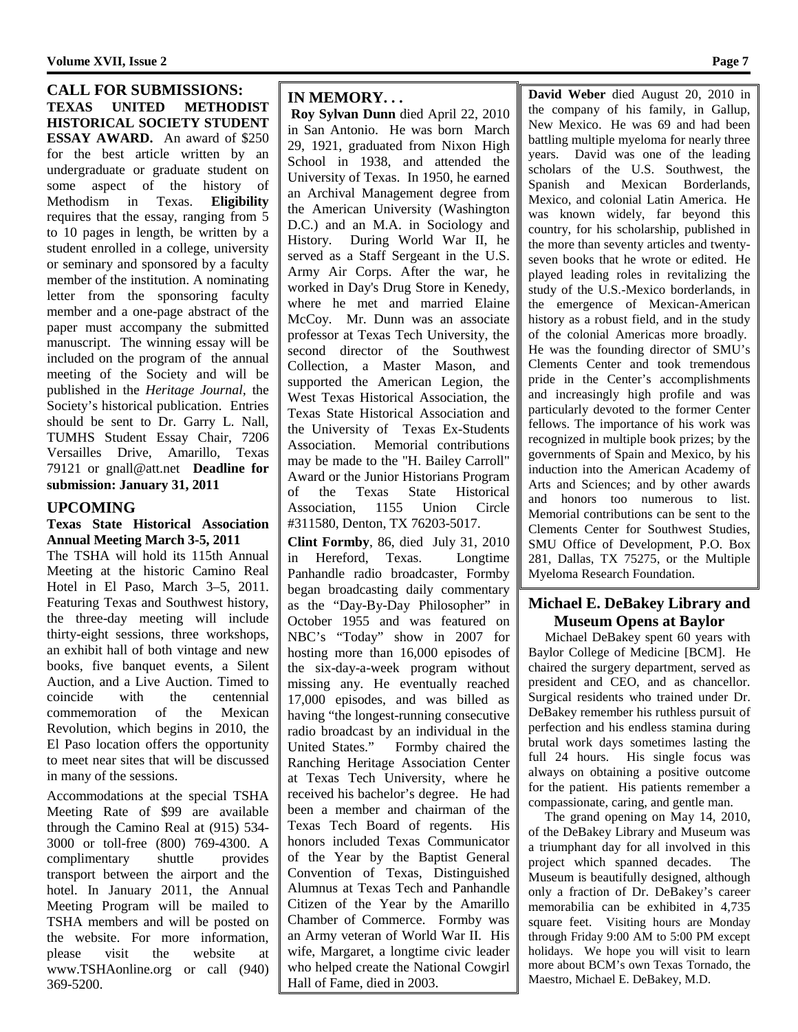**Volume XVII, Issue 2 Page 7**

**CALL FOR SUBMISSIONS: TEXAS UNITED METHODIST HISTORICAL SOCIETY STUDENT ESSAY AWARD.** An award of \$250 for the best article written by an undergraduate or graduate student on some aspect of the history of Methodism in Texas. **Eligibility** requires that the essay, ranging from 5 to 10 pages in length, be written by a student enrolled in a college, university or seminary and sponsored by a faculty member of the institution. A nominating letter from the sponsoring faculty member and a one-page abstract of the paper must accompany the submitted manuscript. The winning essay will be included on the program of the annual meeting of the Society and will be published in the *Heritage Journal,* the Society's historical publication. Entries should be sent to Dr. Garry L. Nall, TUMHS Student Essay Chair, 7206 Versailles Drive, Amarillo, Texas 79121 or gnall@att.net **Deadline for submission: January 31, 2011**

### **UPCOMING**

#### **Texas State Historical Association Annual Meeting March 3-5, 2011**

The TSHA will hold its 115th Annual Meeting at the historic Camino Real Hotel in El Paso, March 3–5, 2011. Featuring Texas and Southwest history, the three-day meeting will include thirty-eight sessions, three workshops, an exhibit hall of both vintage and new books, five banquet events, a Silent Auction, and a Live Auction. Timed to<br>coincide with the centennial with the centennial commemoration of the Mexican Revolution, which begins in 2010, the El Paso location offers the opportunity to meet near sites that will be discussed in many of the sessions.

Accommodations at the special TSHA Meeting Rate of \$99 are available through the Camino Real at (915) 534- 3000 or toll-free (800) 769-4300. A complimentary shuttle provides transport between the airport and the hotel. In January 2011, the Annual Meeting Program will be mailed to TSHA members and will be posted on the website. For more information, please visit the website at www.TSHAonline.org or call (940) 369-5200.

**IN MEMORY. . .**

**Roy Sylvan Dunn** died April 22, 2010 in San Antonio. He was born March 29, 1921, graduated from Nixon High School in 1938, and attended the University of Texas. In 1950, he earned an Archival Management degree from the American University (Washington D.C.) and an M.A. in Sociology and History. During World War II, he served as a Staff Sergeant in the U.S. Army Air Corps. After the war, he worked in Day's Drug Store in Kenedy, where he met and married Elaine McCoy. Mr. Dunn was an associate professor at Texas Tech University, the second director of the Southwest Collection, a Master Mason, and supported the American Legion, the West Texas Historical Association, the Texas State Historical Association and the University of Texas Ex-Students Association. Memorial contributions may be made to the "H. Bailey Carroll" Award or the Junior Historians Program of the Texas State Historical Association, 1155 Union Circle #311580, Denton, TX 76203-5017.

**Clint Formby**, 86, died July 31, 2010 in Hereford, Texas. Longtime Panhandle radio broadcaster, Formby began broadcasting daily commentary as the "Day-By-Day Philosopher" in October 1955 and was featured on NBC's "Today" show in 2007 for hosting more than 16,000 episodes of the six-day-a-week program without missing any. He eventually reached 17,000 episodes, and was billed as having "the longest-running consecutive radio broadcast by an individual in the United States." Formby chaired the Ranching Heritage Association Center at Texas Tech University, where he received his bachelor's degree. He had been a member and chairman of the Texas Tech Board of regents. His honors included Texas Communicator of the Year by the Baptist General Convention of Texas, Distinguished Alumnus at Texas Tech and Panhandle Citizen of the Year by the Amarillo Chamber of Commerce. Formby was an Army veteran of World War II. His wife, Margaret, a longtime civic leader who helped create the National Cowgirl Hall of Fame, died in 2003.

**David Weber** died August 20, 2010 in the company of his family, in Gallup, New Mexico. He was 69 and had been battling multiple myeloma for nearly three years. David was one of the leading scholars of the U.S. Southwest, the Spanish and Mexican Borderlands, Mexico, and colonial Latin America. He was known widely, far beyond this country, for his scholarship, published in the more than seventy articles and twentyseven books that he wrote or edited. He played leading roles in revitalizing the study of the U.S.-Mexico borderlands, in the emergence of Mexican-American history as a robust field, and in the study of the colonial Americas more broadly. He was the founding director of SMU's Clements Center and took tremendous pride in the Center's accomplishments and increasingly high profile and was particularly devoted to the former Center fellows. The importance of his work was recognized in multiple book prizes; by the governments of Spain and Mexico, by his induction into the American Academy of Arts and Sciences; and by other awards and honors too numerous to list. Memorial contributions can be sent to the Clements Center for Southwest Studies, SMU Office of Development, P.O. Box 281, Dallas, TX 75275, or the Multiple Myeloma Research Foundation.

### **Michael E. DeBakey Library and Museum Opens at Baylor**<br>Michael DeBakey spent 60 years with

Baylor College of Medicine [BCM]. He chaired the surgery department, served as president and CEO, and as chancellor. Surgical residents who trained under Dr. DeBakey remember his ruthless pursuit of perfection and his endless stamina during brutal work days sometimes lasting the full 24 hours. His single focus was always on obtaining a positive outcome for the patient. His patients remember a compassionate, caring, and gentle man.

 The grand opening on May 14, 2010, of the DeBakey Library and Museum was a triumphant day for all involved in this project which spanned decades. The Museum is beautifully designed, although only a fraction of Dr. DeBakey's career memorabilia can be exhibited in 4,735 square feet. Visiting hours are Monday through Friday 9:00 AM to 5:00 PM except holidays. We hope you will visit to learn more about BCM's own Texas Tornado, the Maestro, Michael E. DeBakey, M.D.